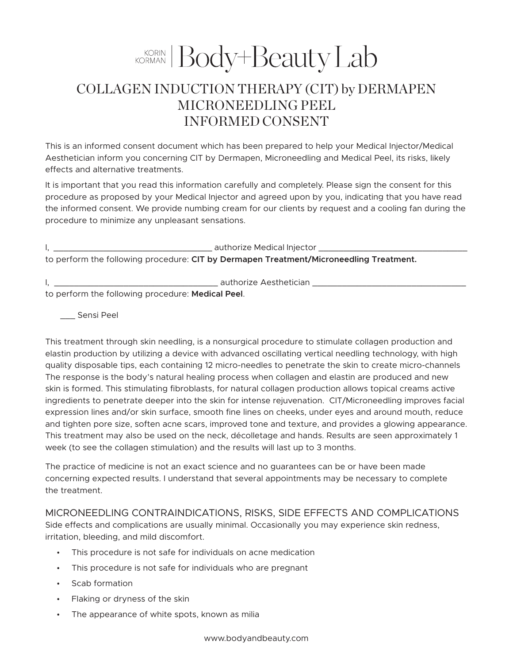# KORIAN Body+Beauty Lab

## COLLAGEN INDUCTION THERAPY (CIT) by DERMAPEN MICRONEEDLING PEEL INFORMED CONSENT

This is an informed consent document which has been prepared to help your Medical Injector/Medical Aesthetician inform you concerning CIT by Dermapen, Microneedling and Medical Peel, its risks, likely effects and alternative treatments.

It is important that you read this information carefully and completely. Please sign the consent for this procedure as proposed by your Medical Injector and agreed upon by you, indicating that you have read the informed consent. We provide numbing cream for our clients by request and a cooling fan during the procedure to minimize any unpleasant sensations.

| authorize Medical Injector |  |
|----------------------------|--|
|                            |  |

to perform the following procedure: **CIT by Dermapen Treatment/Microneedling Treatment.**

**Manuform** authorize Aesthetician **Lands** 

to perform the following procedure: **Medical Peel**.

\_\_\_ Sensi Peel

This treatment through skin needling, is a nonsurgical procedure to stimulate collagen production and elastin production by utilizing a device with advanced oscillating vertical needling technology, with high quality disposable tips, each containing 12 micro-needles to penetrate the skin to create micro-channels The response is the body's natural healing process when collagen and elastin are produced and new skin is formed. This stimulating fibroblasts, for natural collagen production allows topical creams active ingredients to penetrate deeper into the skin for intense rejuvenation. CIT/Microneedling improves facial expression lines and/or skin surface, smooth fine lines on cheeks, under eyes and around mouth, reduce and tighten pore size, soften acne scars, improved tone and texture, and provides a glowing appearance. This treatment may also be used on the neck, décolletage and hands. Results are seen approximately 1 week (to see the collagen stimulation) and the results will last up to 3 months.

The practice of medicine is not an exact science and no guarantees can be or have been made concerning expected results. I understand that several appointments may be necessary to complete the treatment.

#### MICRONEEDLING CONTRAINDICATIONS, RISKS, SIDE EFFECTS AND COMPLICATIONS

Side effects and complications are usually minimal. Occasionally you may experience skin redness, irritation, bleeding, and mild discomfort.

- This procedure is not safe for individuals on acne medication
- This procedure is not safe for individuals who are pregnant
- Scab formation
- Flaking or dryness of the skin
- The appearance of white spots, known as milia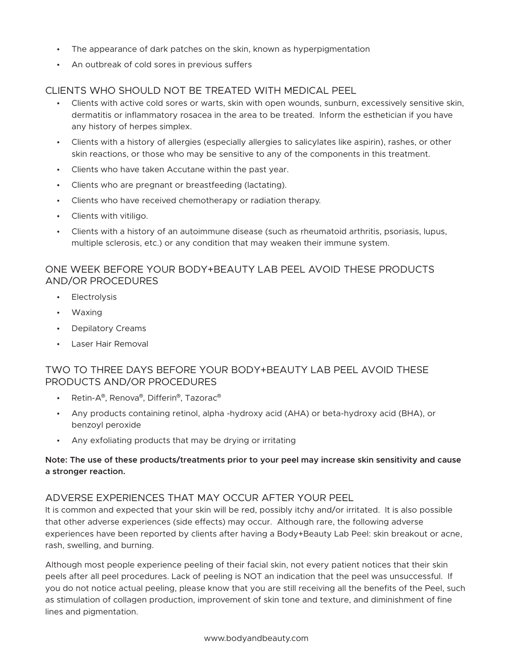- The appearance of dark patches on the skin, known as hyperpigmentation
- An outbreak of cold sores in previous suffers

#### CLIENTS WHO SHOULD NOT BE TREATED WITH MEDICAL PEEL

- Clients with active cold sores or warts, skin with open wounds, sunburn, excessively sensitive skin, dermatitis or inflammatory rosacea in the area to be treated. Inform the esthetician if you have any history of herpes simplex.
- Clients with a history of allergies (especially allergies to salicylates like aspirin), rashes, or other skin reactions, or those who may be sensitive to any of the components in this treatment.
- Clients who have taken Accutane within the past year.
- Clients who are pregnant or breastfeeding (lactating).
- Clients who have received chemotherapy or radiation therapy.
- Clients with vitiligo.
- Clients with a history of an autoimmune disease (such as rheumatoid arthritis, psoriasis, lupus, multiple sclerosis, etc.) or any condition that may weaken their immune system.

### ONE WEEK BEFORE YOUR BODY+BEAUTY LAB PEEL AVOID THESE PRODUCTS AND/OR PROCEDURES

- Electrolysis
- Waxing
- Depilatory Creams
- Laser Hair Removal

#### TWO TO THREE DAYS BEFORE YOUR BODY+BEAUTY LAB PEEL AVOID THESE PRODUCTS AND/OR PROCEDURES

- Retin-A®, Renova®, Differin®, Tazorac®
- Any products containing retinol, alpha -hydroxy acid (AHA) or beta-hydroxy acid (BHA), or benzoyl peroxide
- Any exfoliating products that may be drying or irritating

#### **Note: The use of these products/treatments prior to your peel may increase skin sensitivity and cause a stronger reaction.**

#### ADVERSE EXPERIENCES THAT MAY OCCUR AFTER YOUR PEEL

It is common and expected that your skin will be red, possibly itchy and/or irritated. It is also possible that other adverse experiences (side effects) may occur. Although rare, the following adverse experiences have been reported by clients after having a Body+Beauty Lab Peel: skin breakout or acne, rash, swelling, and burning.

Although most people experience peeling of their facial skin, not every patient notices that their skin peels after all peel procedures. Lack of peeling is NOT an indication that the peel was unsuccessful. If you do not notice actual peeling, please know that you are still receiving all the benefits of the Peel, such as stimulation of collagen production, improvement of skin tone and texture, and diminishment of fine lines and pigmentation.